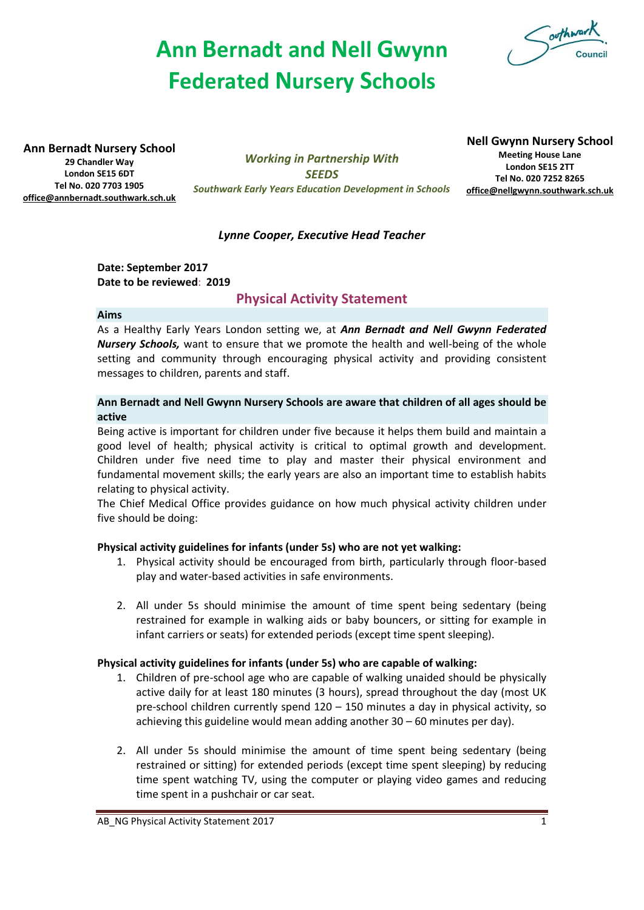# **Ann Bernadt and Nell Gwynn Federated Nursery Schools**



**Ann Bernadt Nursery School**

**29 Chandler Way London SE15 6DT Tel No. 020 7703 1905 [office@annbernadt.southwark.sch.uk](mailto:office@annbernadt.southwark.sch.uk)**

*Working in Partnership With SEEDS Southwark Early Years Education Development in Schools*

# **Nell Gwynn Nursery School**

**Meeting House Lane London SE15 2TT Tel No. 020 7252 8265 [office@nellgwynn.southwark.sch.uk](mailto:office@nellgwynn.southwark.sch.uk)**

# *Lynne Cooper, Executive Head Teacher*

**Date: September 2017 Date to be reviewed**: **2019**

# **Physical Activity Statement**

#### **Aims**

As a Healthy Early Years London setting we, at *Ann Bernadt and Nell Gwynn Federated Nursery Schools,* want to ensure that we promote the health and well-being of the whole setting and community through encouraging physical activity and providing consistent messages to children, parents and staff.

## **Ann Bernadt and Nell Gwynn Nursery Schools are aware that children of all ages should be active**

Being active is important for children under five because it helps them build and maintain a good level of health; physical activity is critical to optimal growth and development. Children under five need time to play and master their physical environment and fundamental movement skills; the early years are also an important time to establish habits relating to physical activity.

The Chief Medical Office provides guidance on how much physical activity children under five should be doing:

# **Physical activity guidelines for infants (under 5s) who are not yet walking:**

- 1. Physical activity should be encouraged from birth, particularly through floor-based play and water-based activities in safe environments.
- 2. All under 5s should minimise the amount of time spent being sedentary (being restrained for example in walking aids or baby bouncers, or sitting for example in infant carriers or seats) for extended periods (except time spent sleeping).

#### **Physical activity guidelines for infants (under 5s) who are capable of walking:**

- 1. Children of pre-school age who are capable of walking unaided should be physically active daily for at least 180 minutes (3 hours), spread throughout the day (most UK pre-school children currently spend 120 – 150 minutes a day in physical activity, so achieving this guideline would mean adding another 30 – 60 minutes per day).
- 2. All under 5s should minimise the amount of time spent being sedentary (being restrained or sitting) for extended periods (except time spent sleeping) by reducing time spent watching TV, using the computer or playing video games and reducing time spent in a pushchair or car seat.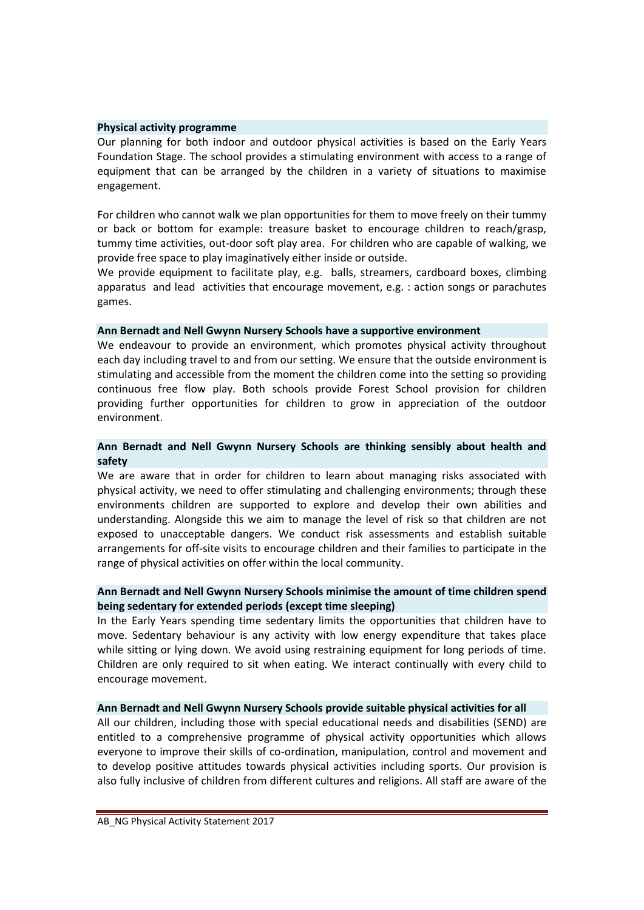#### **Physical activity programme**

Our planning for both indoor and outdoor physical activities is based on the Early Years Foundation Stage. The school provides a stimulating environment with access to a range of equipment that can be arranged by the children in a variety of situations to maximise engagement.

For children who cannot walk we plan opportunities for them to move freely on their tummy or back or bottom for example: treasure basket to encourage children to reach/grasp, tummy time activities, out-door soft play area. For children who are capable of walking, we provide free space to play imaginatively either inside or outside.

We provide equipment to facilitate play, e.g. balls, streamers, cardboard boxes, climbing apparatus and lead activities that encourage movement, e.g. : action songs or parachutes games.

#### **Ann Bernadt and Nell Gwynn Nursery Schools have a supportive environment**

We endeavour to provide an environment, which promotes physical activity throughout each day including travel to and from our setting. We ensure that the outside environment is stimulating and accessible from the moment the children come into the setting so providing continuous free flow play. Both schools provide Forest School provision for children providing further opportunities for children to grow in appreciation of the outdoor environment.

#### **Ann Bernadt and Nell Gwynn Nursery Schools are thinking sensibly about health and safety**

We are aware that in order for children to learn about managing risks associated with physical activity, we need to offer stimulating and challenging environments; through these environments children are supported to explore and develop their own abilities and understanding. Alongside this we aim to manage the level of risk so that children are not exposed to unacceptable dangers. We conduct risk assessments and establish suitable arrangements for off-site visits to encourage children and their families to participate in the range of physical activities on offer within the local community.

## **Ann Bernadt and Nell Gwynn Nursery Schools minimise the amount of time children spend being sedentary for extended periods (except time sleeping)**

In the Early Years spending time sedentary limits the opportunities that children have to move. Sedentary behaviour is any activity with low energy expenditure that takes place while sitting or lying down. We avoid using restraining equipment for long periods of time. Children are only required to sit when eating. We interact continually with every child to encourage movement.

#### **Ann Bernadt and Nell Gwynn Nursery Schools provide suitable physical activities for all**

All our children, including those with special educational needs and disabilities (SEND) are entitled to a comprehensive programme of physical activity opportunities which allows everyone to improve their skills of co-ordination, manipulation, control and movement and to develop positive attitudes towards physical activities including sports. Our provision is also fully inclusive of children from different cultures and religions. All staff are aware of the